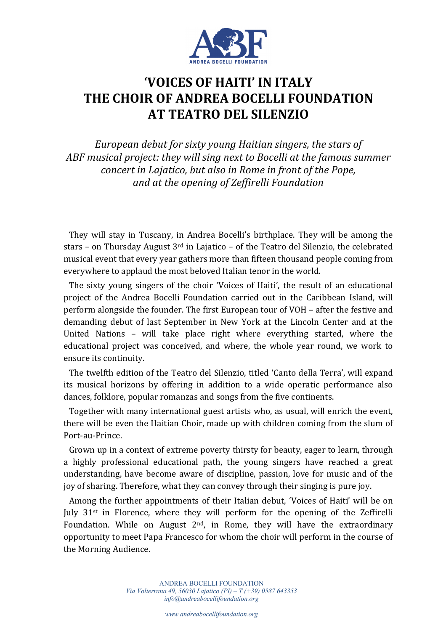

## **'VOICES OF HAITI' IN ITALY THE CHOIR OF ANDREA BOCELLI FOUNDATION AT TEATRO DEL SILENZIO**

European debut for sixty young Haitian singers, the stars of ABF musical project: they will sing next to Bocelli at the famous summer *concert in Lajatico, but also in Rome in front of the Pope, and at the opening of Zeffirelli Foundation*

They will stay in Tuscany, in Andrea Bocelli's birthplace. They will be among the stars - on Thursday August  $3^{rd}$  in Lajatico - of the Teatro del Silenzio, the celebrated musical event that every year gathers more than fifteen thousand people coming from everywhere to applaud the most beloved Italian tenor in the world.

The sixty young singers of the choir 'Voices of Haiti', the result of an educational project of the Andrea Bocelli Foundation carried out in the Caribbean Island, will perform alongside the founder. The first European tour of VOH – after the festive and demanding debut of last September in New York at the Lincoln Center and at the United Nations - will take place right where everything started, where the educational project was conceived, and where, the whole year round, we work to ensure its continuity.

The twelfth edition of the Teatro del Silenzio, titled 'Canto della Terra', will expand its musical horizons by offering in addition to a wide operatic performance also dances, folklore, popular romanzas and songs from the five continents.

Together with many international guest artists who, as usual, will enrich the event, there will be even the Haitian Choir, made up with children coming from the slum of Port-au-Prince.

Grown up in a context of extreme poverty thirsty for beauty, eager to learn, through a highly professional educational path, the young singers have reached a great understanding, have become aware of discipline, passion, love for music and of the joy of sharing. Therefore, what they can convey through their singing is pure joy.

Among the further appointments of their Italian debut, 'Voices of Haiti' will be on July  $31^{st}$  in Florence, where they will perform for the opening of the Zeffirelli Foundation. While on August  $2<sup>nd</sup>$ , in Rome, they will have the extraordinary opportunity to meet Papa Francesco for whom the choir will perform in the course of the Morning Audience.

> ANDREA BOCELLI FOUNDATION *Via Volterrana 49, 56030 Lajatico (PI) – T (+39) 0587 643353 info@andreabocellifoundation.org*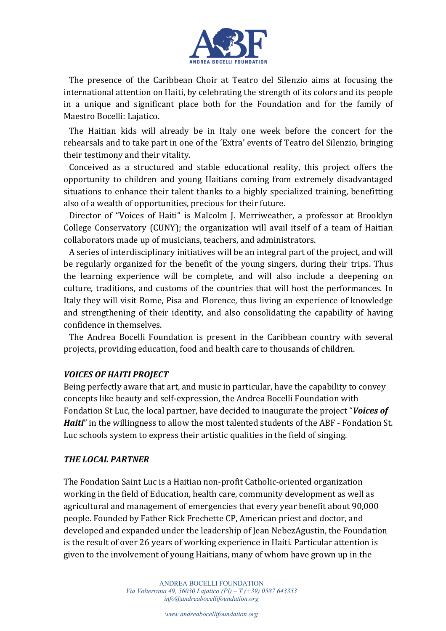

The presence of the Caribbean Choir at Teatro del Silenzio aims at focusing the international attention on Haiti, by celebrating the strength of its colors and its people in a unique and significant place both for the Foundation and for the family of Maestro Bocelli: Lajatico.

The Haitian kids will already be in Italy one week before the concert for the rehearsals and to take part in one of the 'Extra' events of Teatro del Silenzio, bringing their testimony and their vitality.

Conceived as a structured and stable educational reality, this project offers the opportunity to children and young Haitians coming from extremely disadvantaged situations to enhance their talent thanks to a highly specialized training, benefitting also of a wealth of opportunities, precious for their future.

Director of "Voices of Haiti" is Malcolm J. Merriweather, a professor at Brooklyn College Conservatory (CUNY); the organization will avail itself of a team of Haitian collaborators made up of musicians, teachers, and administrators.

A series of interdisciplinary initiatives will be an integral part of the project, and will be regularly organized for the benefit of the young singers, during their trips. Thus the learning experience will be complete, and will also include a deepening on culture, traditions, and customs of the countries that will host the performances. In Italy they will visit Rome, Pisa and Florence, thus living an experience of knowledge and strengthening of their identity, and also consolidating the capability of having confidence in themselves.

The Andrea Bocelli Foundation is present in the Caribbean country with several projects, providing education, food and health care to thousands of children.

## *VOICES OF HAITI PROJECT*

Being perfectly aware that art, and music in particular, have the capability to convey concepts like beauty and self-expression, the Andrea Bocelli Foundation with Fondation St Luc, the local partner, have decided to inaugurate the project "Voices of *Haiti*" in the willingness to allow the most talented students of the ABF - Fondation St. Luc schools system to express their artistic qualities in the field of singing.

## **THE LOCAL PARTNER**

The Fondation Saint Luc is a Haitian non-profit Catholic-oriented organization working in the field of Education, health care, community development as well as agricultural and management of emergencies that every year benefit about 90,000 people. Founded by Father Rick Frechette CP, American priest and doctor, and developed and expanded under the leadership of Jean NebezAgustin, the Foundation is the result of over 26 years of working experience in Haiti. Particular attention is given to the involvement of young Haitians, many of whom have grown up in the

> ANDREA BOCELLI FOUNDATION *Via Volterrana 49, 56030 Lajatico (PI) – T (+39) 0587 643353 info@andreabocellifoundation.org*